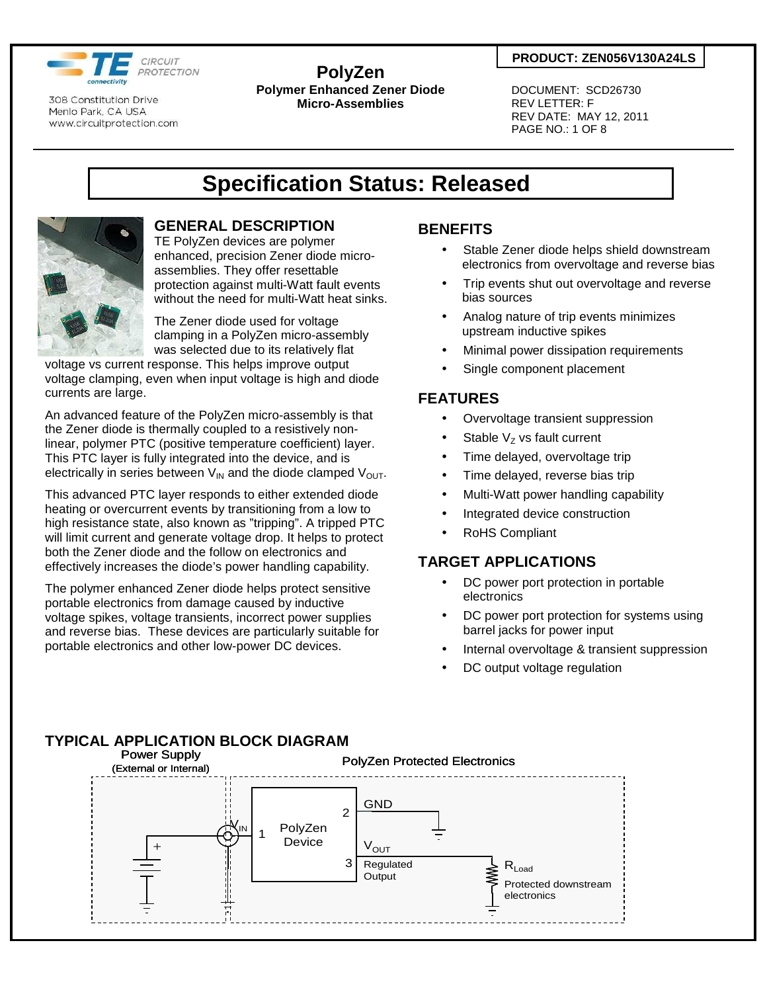

#### **PolyZen Polymer Enhanced Zener Diode Micro-Assemblies**

#### **PRODUCT: ZEN056V130A24LS**

 DOCUMENT: SCD26730 REV LETTER: F REV DATE: MAY 12, 2011 PAGE NO.: 1 OF 8

## **Specification Status: Released**



## **GENERAL DESCRIPTION**

TE PolyZen devices are polymer enhanced, precision Zener diode microassemblies. They offer resettable protection against multi-Watt fault events without the need for multi-Watt heat sinks.

The Zener diode used for voltage clamping in a PolyZen micro-assembly was selected due to its relatively flat

voltage vs current response. This helps improve output voltage clamping, even when input voltage is high and diode currents are large.

An advanced feature of the PolyZen micro-assembly is that the Zener diode is thermally coupled to a resistively nonlinear, polymer PTC (positive temperature coefficient) layer. This PTC layer is fully integrated into the device, and is electrically in series between  $V_{IN}$  and the diode clamped  $V_{OUT}$ .

This advanced PTC layer responds to either extended diode heating or overcurrent events by transitioning from a low to high resistance state, also known as "tripping". A tripped PTC will limit current and generate voltage drop. It helps to protect both the Zener diode and the follow on electronics and effectively increases the diode's power handling capability.

The polymer enhanced Zener diode helps protect sensitive portable electronics from damage caused by inductive voltage spikes, voltage transients, incorrect power supplies and reverse bias. These devices are particularly suitable for portable electronics and other low-power DC devices.

## **BENEFITS**

- Stable Zener diode helps shield downstream electronics from overvoltage and reverse bias
- Trip events shut out overvoltage and reverse bias sources
- Analog nature of trip events minimizes upstream inductive spikes
- Minimal power dissipation requirements
- Single component placement

## **FEATURES**

- Overvoltage transient suppression
- Stable  $V<sub>z</sub>$  vs fault current
- Time delayed, overvoltage trip
- Time delayed, reverse bias trip
- Multi-Watt power handling capability
- Integrated device construction
- RoHS Compliant

### **TARGET APPLICATIONS**

- DC power port protection in portable electronics
- DC power port protection for systems using barrel jacks for power input
- Internal overvoltage & transient suppression
- DC output voltage regulation

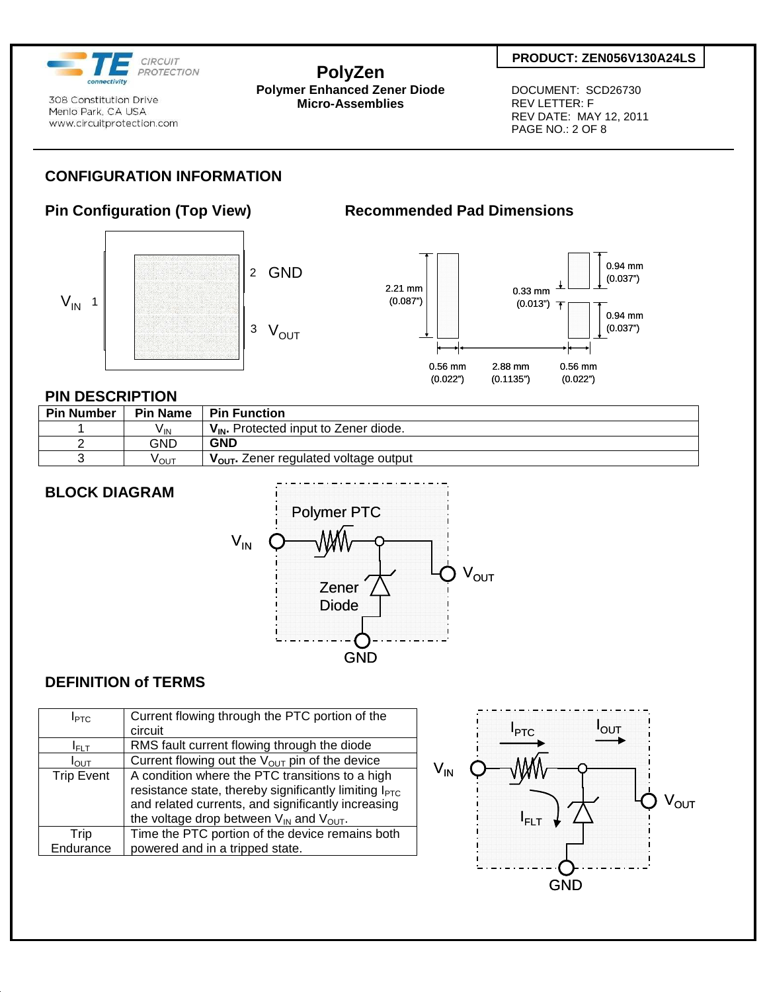

**PolyZen** 

**Polymer Enhanced Zener Diode Micro-Assemblies** 

#### **PRODUCT: ZEN056V130A24LS**

 DOCUMENT: SCD26730 REV LETTER: F REV DATE: MAY 12, 2011 PAGE NO.: 2 OF 8

## **CONFIGURATION INFORMATION**

## **Pin Configuration (Top View) Recommended Pad Dimensions**





#### **PIN DESCRIPTION**

| <b>Pin Number</b> | <b>Pin Name</b> | <b>Pin Function</b>                               |
|-------------------|-----------------|---------------------------------------------------|
|                   | V <sub>IN</sub> | $V_{IN}$ . Protected input to Zener diode.        |
|                   | GND             | <b>GND</b>                                        |
|                   | νουτ            | V <sub>OUT</sub> . Zener regulated voltage output |

## **BLOCK DIAGRAM**



### **DEFINITION of TERMS**

| I <sub>PTC</sub>  | Current flowing through the PTC portion of the                    |  |  |  |  |
|-------------------|-------------------------------------------------------------------|--|--|--|--|
|                   | circuit                                                           |  |  |  |  |
| $I_{\rm FI\,T}$   | RMS fault current flowing through the diode                       |  |  |  |  |
| $I_{\text{OUT}}$  | Current flowing out the $V_{OUT}$ pin of the device               |  |  |  |  |
| <b>Trip Event</b> | A condition where the PTC transitions to a high                   |  |  |  |  |
|                   | resistance state, thereby significantly limiting $I_{\text{PTC}}$ |  |  |  |  |
|                   | and related currents, and significantly increasing                |  |  |  |  |
|                   | the voltage drop between $V_{IN}$ and $V_{OUT}$ .                 |  |  |  |  |
| Trip              | Time the PTC portion of the device remains both                   |  |  |  |  |
| Endurance         | powered and in a tripped state.                                   |  |  |  |  |

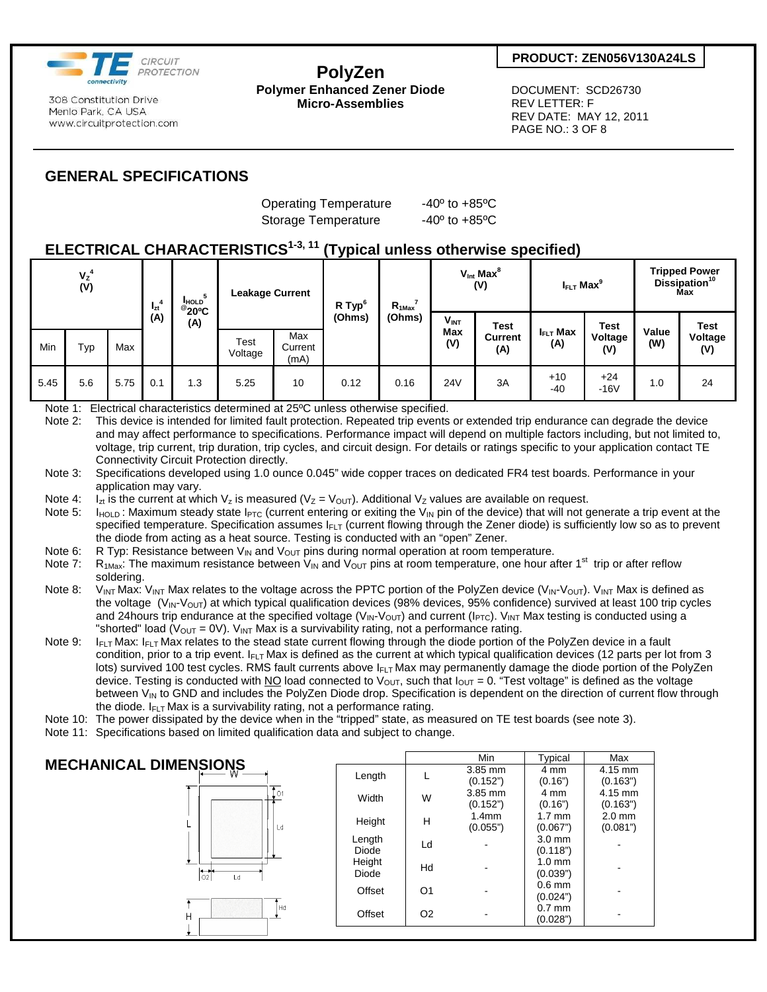

#### **PolyZen Polymer Enhanced Zener Diode Micro-Assemblies**

#### **PRODUCT: ZEN056V130A24LS**

 DOCUMENT: SCD26730 REV LETTER: F REV DATE: MAY 12, 2011 PAGE NO.: 3 OF 8

## **GENERAL SPECIFICATIONS**

Operating Temperature -40<sup>°</sup> to +85<sup>°</sup>C Storage Temperature -40° to +85°C

## **ELECTRICAL CHARACTERISTICS1-3, 11 (Typical unless otherwise specified)**

| $V_{Z}^{4}$<br>(V) |     | -4<br>$I_{zt}$ | <b>HOLD</b><br>$^{\circ}20^{\circ}$ C<br>(A) | <b>Leakage Current</b><br>Max |                 | $\cdot$ $\cdot$ $\cdot$<br>R Typ <sup>6</sup><br>(Ohms) | $R_{1Max}$<br>(Ohms) | $V_{\text{Int}}$ Max ${}^{8}$<br>(V) |             | $I_{\text{FLT}}$ Max <sup>9</sup> |                | <b>Tripped Power</b><br>Dissipation <sup>10</sup><br><b>Max</b> |      |                |
|--------------------|-----|----------------|----------------------------------------------|-------------------------------|-----------------|---------------------------------------------------------|----------------------|--------------------------------------|-------------|-----------------------------------|----------------|-----------------------------------------------------------------|------|----------------|
|                    |     | (A)            |                                              |                               |                 |                                                         |                      | $V_{INT}$<br>Max                     | <b>Test</b> | $I_{\text{FLT}}$ Max              | <b>Test</b>    | Value                                                           | Test |                |
| Min                | Typ | Max            |                                              |                               | Test<br>Voltage | Current<br>(mA)                                         |                      |                                      | (V)         | <b>Current</b><br>(A)             | (A)            | Voltage<br>(V)                                                  | (W)  | Voltage<br>(V) |
| 5.45               | 5.6 | 5.75           | 0.1                                          | 1.3                           | 5.25            | 10                                                      | 0.12                 | 0.16                                 | 24V         | 3A                                | $+10$<br>$-40$ | $+24$<br>$-16V$                                                 | 1.0  | 24             |

Note 1: Electrical characteristics determined at 25ºC unless otherwise specified.

Note 2: This device is intended for limited fault protection. Repeated trip events or extended trip endurance can degrade the device and may affect performance to specifications. Performance impact will depend on multiple factors including, but not limited to, voltage, trip current, trip duration, trip cycles, and circuit design. For details or ratings specific to your application contact TE Connectivity Circuit Protection directly.

- Note 3: Specifications developed using 1.0 ounce 0.045" wide copper traces on dedicated FR4 test boards. Performance in your application may vary.
- Note 4: I<sub>zt</sub> is the current at which V<sub>z</sub> is measured (V<sub>Z</sub> = V<sub>OUT</sub>). Additional V<sub>z</sub> values are available on request.
- Note 5:  $I_{HOLD}$ : Maximum steady state  $I_{PTC}$  (current entering or exiting the  $V_{IN}$  pin of the device) that will not generate a trip event at the specified temperature. Specification assumes  $I_{FLT}$  (current flowing through the Zener diode) is sufficiently low so as to prevent the diode from acting as a heat source. Testing is conducted with an "open" Zener.
- Note 6: R Typ: Resistance between  $V_{IN}$  and  $V_{OUT}$  pins during normal operation at room temperature.<br>Note 7: R<sub>1Max</sub>: The maximum resistance between  $V_{IN}$  and  $V_{OUT}$  pins at room temperature, one hour at
- $R_{1Max}$ : The maximum resistance between V<sub>IN</sub> and V<sub>OUT</sub> pins at room temperature, one hour after 1<sup>st</sup> trip or after reflow soldering.
- Note 8:  $V_{INT}$  Max:  $V_{INT}$  Max relates to the voltage across the PPTC portion of the PolyZen device ( $V_{INT}$  $V_{OUT}$ ).  $V_{INT}$  Max is defined as the voltage  $(V_{\text{IN}}\text{-}V_{\text{OUT}})$  at which typical qualification devices (98% devices, 95% confidence) survived at least 100 trip cycles and 24 hours trip endurance at the specified voltage (V<sub>IN</sub>-V<sub>OUT</sub>) and current (I<sub>PTC</sub>). V<sub>INT</sub> Max testing is conducted using a "shorted" load ( $V_{\text{OUT}} = 0V$ ).  $V_{\text{INT}}$  Max is a survivability rating, not a performance rating.

Note 9: I<sub>FLT</sub> Max: I<sub>FLT</sub> Max relates to the stead state current flowing through the diode portion of the PolyZen device in a fault condition, prior to a trip event.  $I_{FLT}$  Max is defined as the current at which typical qualification devices (12 parts per lot from 3 lots) survived 100 test cycles. RMS fault currents above I<sub>FLT</sub> Max may permanently damage the diode portion of the PolyZen device. Testing is conducted with NO load connected to  $V_{\text{OUT}}$ , such that  $I_{\text{OUT}} = 0$ . "Test voltage" is defined as the voltage between  $V_{\text{IN}}$  to GND and includes the PolyZen Diode drop. Specification is dependent on the direction of current flow through the diode.  $I_{FLT}$  Max is a survivability rating, not a performance rating.

- Note 10: The power dissipated by the device when in the "tripped" state, as measured on TE test boards (see note 3).
- Note 11: Specifications based on limited qualification data and subject to change.

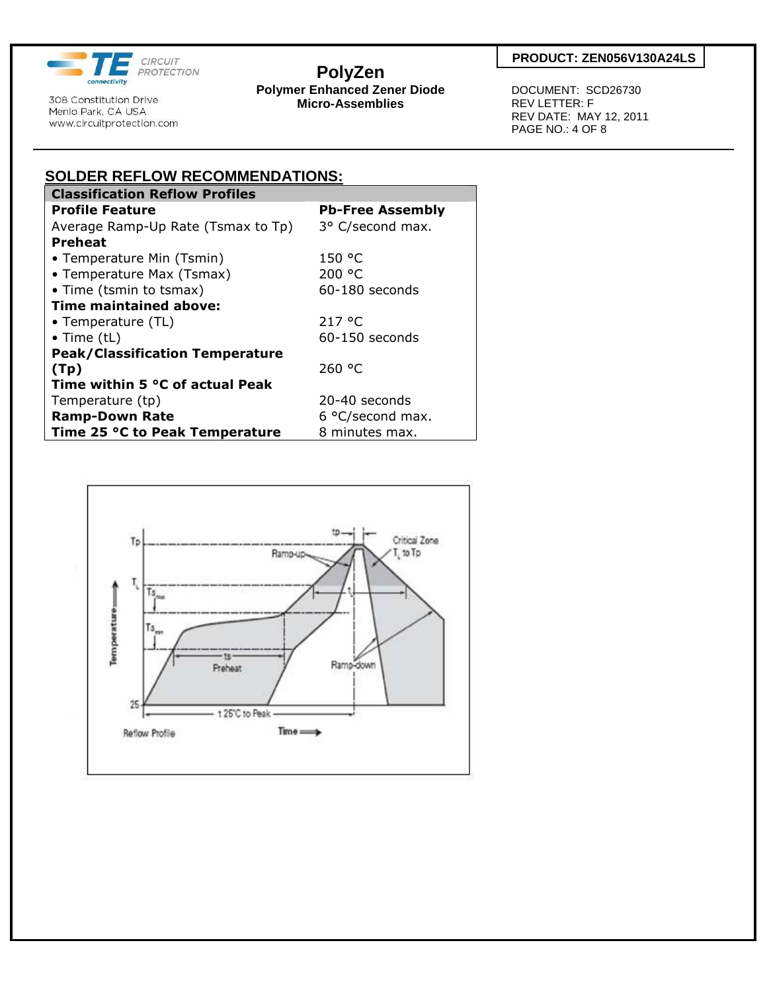

# **PolyZen**

**Polymer Enhanced Zener Diode Micro-Assemblies** 

 DOCUMENT: SCD26730 REV LETTER: F REV DATE: MAY 12, 2011 PAGE NO.: 4 OF 8

| <b>SOLDER REFLOW RECOMMENDATIONS:</b>  |                         |  |  |  |  |  |  |
|----------------------------------------|-------------------------|--|--|--|--|--|--|
| <b>Classification Reflow Profiles</b>  |                         |  |  |  |  |  |  |
| <b>Profile Feature</b>                 | <b>Pb-Free Assembly</b> |  |  |  |  |  |  |
| Average Ramp-Up Rate (Tsmax to Tp)     | 3° C/second max.        |  |  |  |  |  |  |
| <b>Preheat</b>                         |                         |  |  |  |  |  |  |
| • Temperature Min (Tsmin)              | 150 °C                  |  |  |  |  |  |  |
| • Temperature Max (Tsmax)              | 200 °C                  |  |  |  |  |  |  |
| • Time (tsmin to tsmax)                | $60-180$ seconds        |  |  |  |  |  |  |
| Time maintained above:                 |                         |  |  |  |  |  |  |
| • Temperature (TL)                     | 217 °C                  |  |  |  |  |  |  |
| $\bullet$ Time (tL)                    | $60-150$ seconds        |  |  |  |  |  |  |
| <b>Peak/Classification Temperature</b> |                         |  |  |  |  |  |  |
| (Tp)                                   | 260 °C                  |  |  |  |  |  |  |
| Time within 5 °C of actual Peak        |                         |  |  |  |  |  |  |
| Temperature (tp)                       | 20-40 seconds           |  |  |  |  |  |  |
| <b>Ramp-Down Rate</b>                  | 6 °C/second max.        |  |  |  |  |  |  |
| Time 25 °C to Peak Temperature         | 8 minutes max.          |  |  |  |  |  |  |

**SOLDER REFLOW RECOMMENDATIONS:**

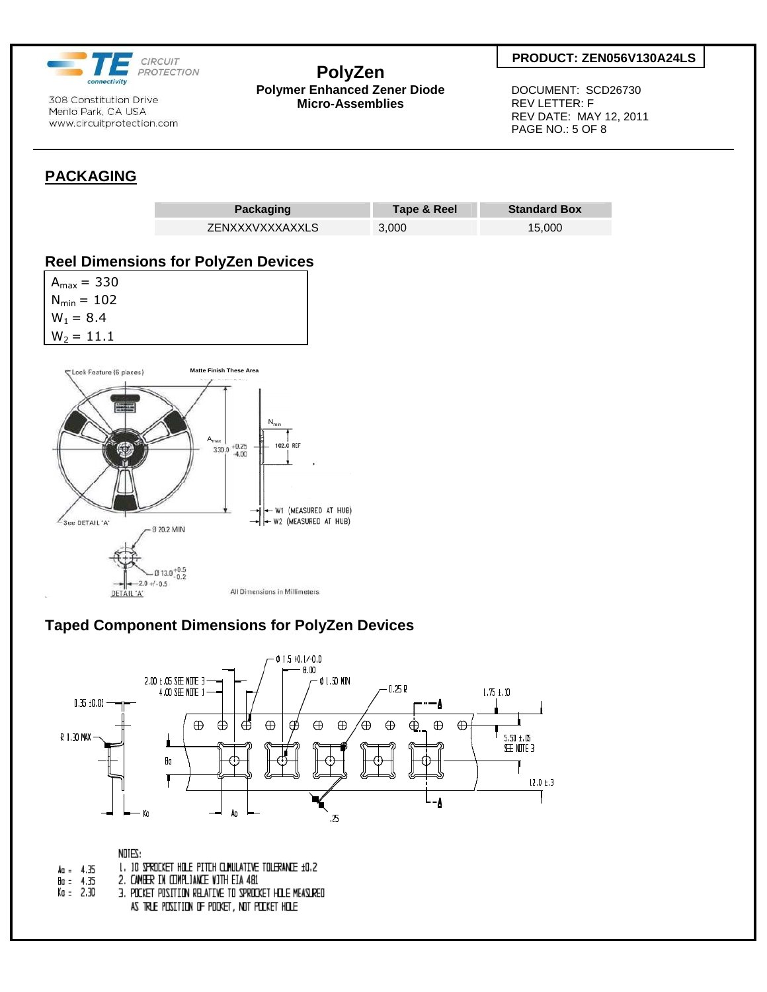

## **PolyZen**

**Polymer Enhanced Zener Diode Micro-Assemblies** 

#### **PRODUCT: ZEN056V130A24LS**

 DOCUMENT: SCD26730 REV LETTER: F REV DATE: MAY 12, 2011 PAGE NO.: 5 OF 8

## **PACKAGING**



## **Taped Component Dimensions for PolyZen Devices**



NOTES: 1. 10 SPROCKET HOLE PITCH CLINULATIVE TOLERANCE ±0.2  $Aa = 4.35$  $\frac{8}{10}$  = 4.35 2. CAMBER IN COMPLIANCE VITH EIA 481  $K_0 = 2.30$ 3. POCKET POSITION RELATIVE TO SPROCKET HILE MEASURED AS TRLE POSITION OF POOKET, NOT POOKET HOLE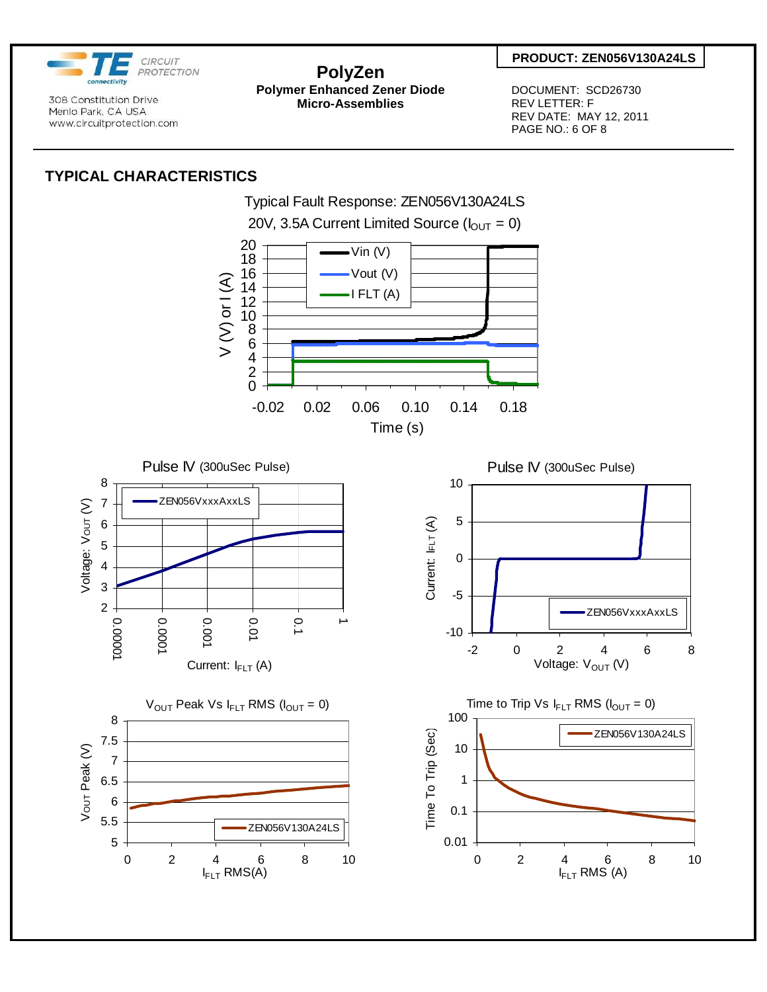

**PolyZen Polymer Enhanced Zener Diode Micro-Assemblies** 

 DOCUMENT: SCD26730 REV LETTER: F REV DATE: MAY 12, 2011 PAGE NO.: 6 OF 8

## **TYPICAL CHARACTERISTICS**

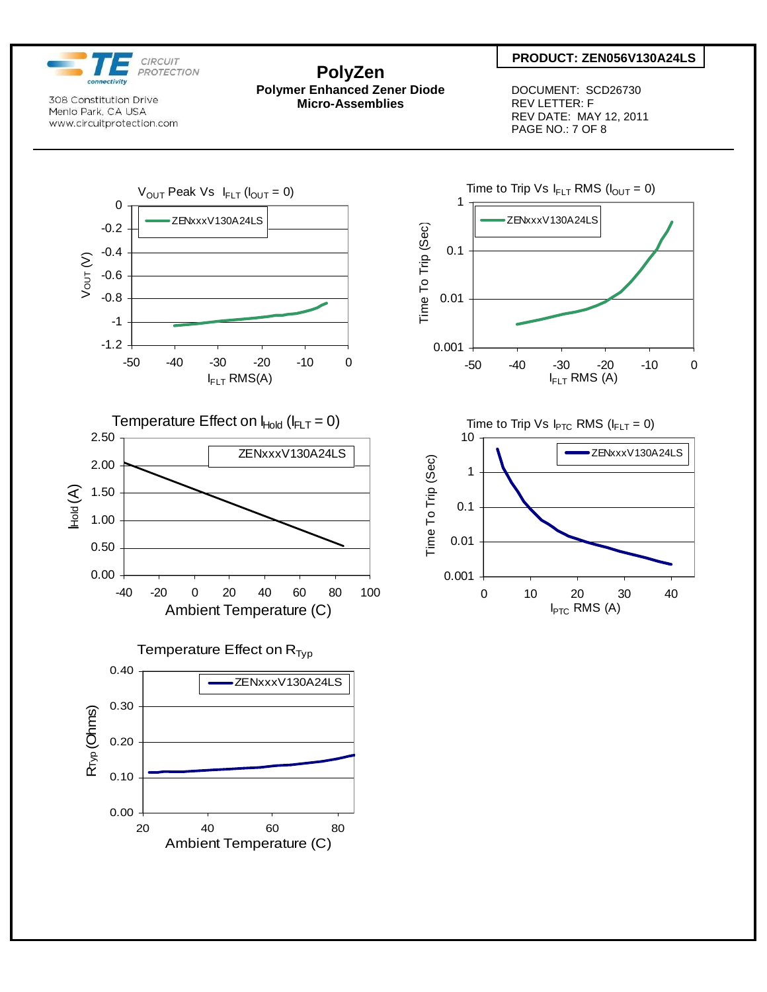

## **PolyZen**

**Polymer Enhanced Zener Diode Micro-Assemblies** 

#### **PRODUCT: ZEN056V130A24LS**

 DOCUMENT: SCD26730 REV LETTER: F REV DATE: MAY 12, 2011 PAGE NO.: 7 OF 8